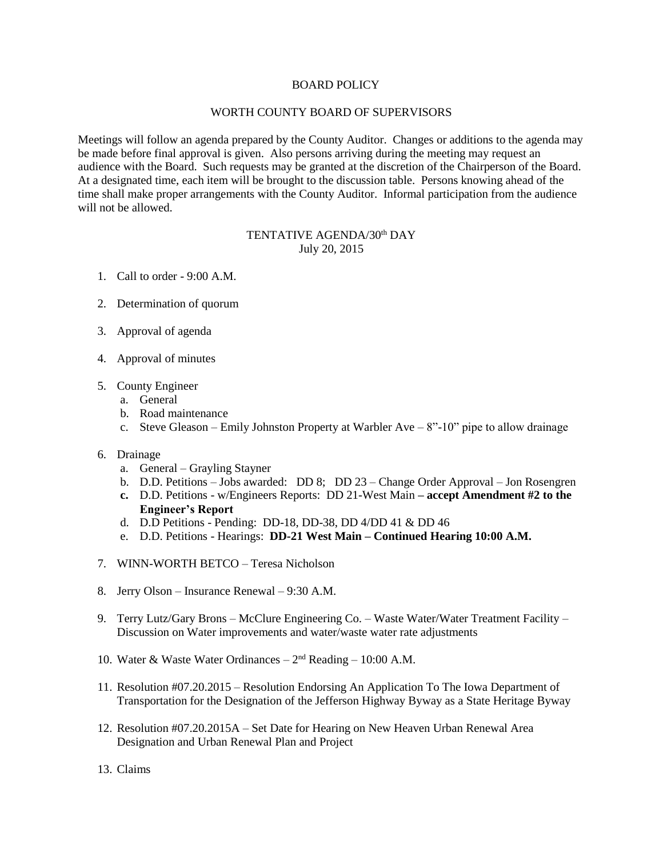## BOARD POLICY

## WORTH COUNTY BOARD OF SUPERVISORS

Meetings will follow an agenda prepared by the County Auditor. Changes or additions to the agenda may be made before final approval is given. Also persons arriving during the meeting may request an audience with the Board. Such requests may be granted at the discretion of the Chairperson of the Board. At a designated time, each item will be brought to the discussion table. Persons knowing ahead of the time shall make proper arrangements with the County Auditor. Informal participation from the audience will not be allowed.

## TENTATIVE AGENDA/30<sup>th</sup> DAY July 20, 2015

- 1. Call to order 9:00 A.M.
- 2. Determination of quorum
- 3. Approval of agenda
- 4. Approval of minutes
- 5. County Engineer
	- a. General
	- b. Road maintenance
	- c. Steve Gleason Emily Johnston Property at Warbler Ave 8"-10" pipe to allow drainage
- 6. Drainage
	- a. General Grayling Stayner
	- b. D.D. Petitions Jobs awarded: DD 8; DD 23 Change Order Approval Jon Rosengren
	- **c.** D.D. Petitions w/Engineers Reports: DD 21-West Main **– accept Amendment #2 to the Engineer's Report**
	- d. D.D Petitions Pending: DD-18, DD-38, DD 4/DD 41 & DD 46
	- e. D.D. Petitions Hearings: **DD-21 West Main – Continued Hearing 10:00 A.M.**
- 7. WINN-WORTH BETCO Teresa Nicholson
- 8. Jerry Olson Insurance Renewal 9:30 A.M.
- 9. Terry Lutz/Gary Brons McClure Engineering Co. Waste Water/Water Treatment Facility Discussion on Water improvements and water/waste water rate adjustments
- 10. Water & Waste Water Ordinances 2<sup>nd</sup> Reading 10:00 A.M.
- 11. Resolution #07.20.2015 Resolution Endorsing An Application To The Iowa Department of Transportation for the Designation of the Jefferson Highway Byway as a State Heritage Byway
- 12. Resolution #07.20.2015A Set Date for Hearing on New Heaven Urban Renewal Area Designation and Urban Renewal Plan and Project
- 13. Claims